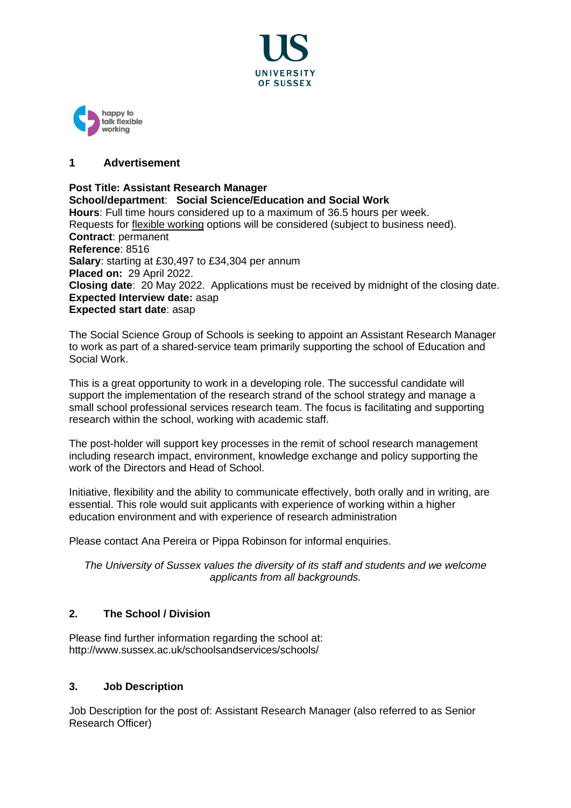



## **1 Advertisement**

**Post Title: Assistant Research Manager School/department**: **Social Science/Education and Social Work Hours**: Full time hours considered up to a maximum of 36.5 hours per week. Requests for [flexible working](http://www.sussex.ac.uk/humanresources/personnel/flexible-working) options will be considered (subject to business need). **Contract**: permanent **Reference**: 8516 **Salary**: starting at £30,497 to £34,304 per annum **Placed on:** 29 April 2022. **Closing date**: 20 May 2022. Applications must be received by midnight of the closing date. **Expected Interview date:** asap **Expected start date**: asap

The Social Science Group of Schools is seeking to appoint an Assistant Research Manager to work as part of a shared-service team primarily supporting the school of Education and Social Work.

This is a great opportunity to work in a developing role. The successful candidate will support the implementation of the research strand of the school strategy and manage a small school professional services research team. The focus is facilitating and supporting research within the school, working with academic staff.

The post-holder will support key processes in the remit of school research management including research impact, environment, knowledge exchange and policy supporting the work of the Directors and Head of School.

Initiative, flexibility and the ability to communicate effectively, both orally and in writing, are essential. This role would suit applicants with experience of working within a higher education environment and with experience of research administration

Please contact Ana Pereira or Pippa Robinson for informal enquiries.

*The University of Sussex values the diversity of its staff and students and we welcome applicants from all backgrounds.*

# **2. The School / Division**

Please find further information regarding the school at: http://www.sussex.ac.uk/schoolsandservices/schools/

#### **3. Job Description**

Job Description for the post of: Assistant Research Manager (also referred to as Senior Research Officer)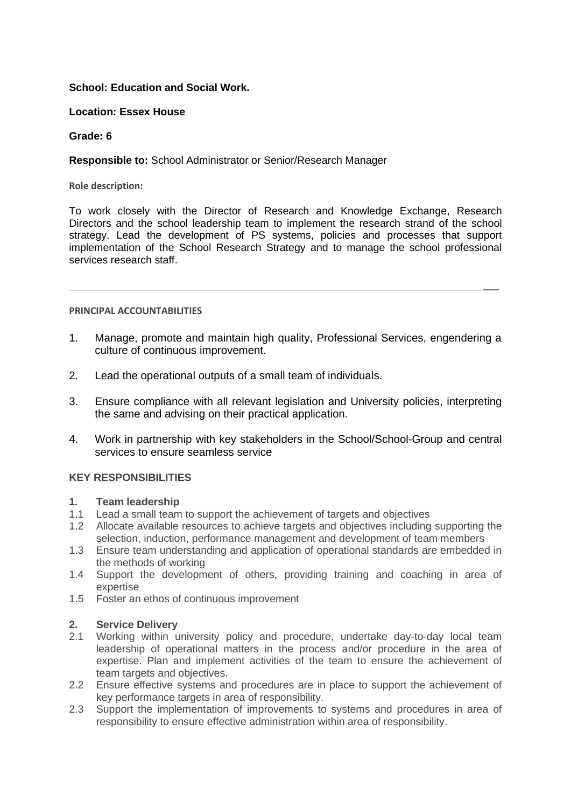# **School: Education and Social Work.**

#### **Location: Essex House**

#### **Grade: 6**

## **Responsible to:** School Administrator or Senior/Research Manager

**Role description:**

To work closely with the Director of Research and Knowledge Exchange, Research Directors and the school leadership team to implement the research strand of the school strategy. Lead the development of PS systems, policies and processes that support implementation of the School Research Strategy and to manage the school professional services research staff.

 $\overline{\phantom{a}}$ 

#### **PRINCIPAL ACCOUNTABILITIES**

- 1. Manage, promote and maintain high quality, Professional Services, engendering a culture of continuous improvement.
- 2. Lead the operational outputs of a small team of individuals.
- 3. Ensure compliance with all relevant legislation and University policies, interpreting the same and advising on their practical application.
- 4. Work in partnership with key stakeholders in the School/School-Group and central services to ensure seamless service

### **KEY RESPONSIBILITIES**

#### **1. Team leadership**

- 1.1 Lead a small team to support the achievement of targets and objectives
- 1.2 Allocate available resources to achieve targets and objectives including supporting the selection, induction, performance management and development of team members
- 1.3 Ensure team understanding and application of operational standards are embedded in the methods of working
- 1.4 Support the development of others, providing training and coaching in area of expertise
- 1.5 Foster an ethos of continuous improvement

#### **2. Service Delivery**

- 2.1 Working within university policy and procedure, undertake day-to-day local team leadership of operational matters in the process and/or procedure in the area of expertise. Plan and implement activities of the team to ensure the achievement of team targets and objectives.
- 2.2 Ensure effective systems and procedures are in place to support the achievement of key performance targets in area of responsibility.
- 2.3 Support the implementation of improvements to systems and procedures in area of responsibility to ensure effective administration within area of responsibility.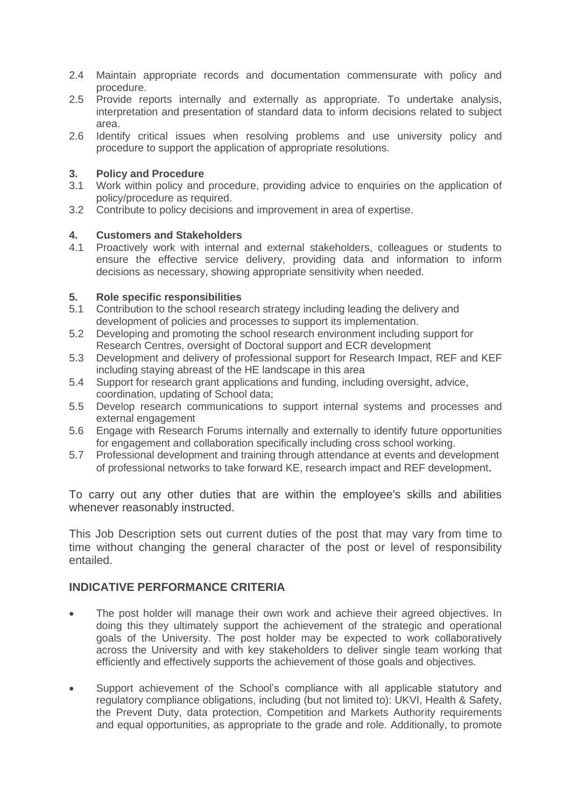- 2.4 Maintain appropriate records and documentation commensurate with policy and procedure.
- 2.5 Provide reports internally and externally as appropriate. To undertake analysis, interpretation and presentation of standard data to inform decisions related to subject area.
- 2.6 Identify critical issues when resolving problems and use university policy and procedure to support the application of appropriate resolutions.

#### **3. Policy and Procedure**

- 3.1 Work within policy and procedure, providing advice to enquiries on the application of policy/procedure as required.
- 3.2 Contribute to policy decisions and improvement in area of expertise.

# **4. Customers and Stakeholders**

4.1 Proactively work with internal and external stakeholders, colleagues or students to ensure the effective service delivery, providing data and information to inform decisions as necessary, showing appropriate sensitivity when needed.

## **5. Role specific responsibilities**

- 5.1 Contribution to the school research strategy including leading the delivery and development of policies and processes to support its implementation.
- 5.2 Developing and promoting the school research environment including support for Research Centres, oversight of Doctoral support and ECR development
- 5.3 Development and delivery of professional support for Research Impact, REF and KEF including staying abreast of the HE landscape in this area
- 5.4 Support for research grant applications and funding, including oversight, advice, coordination, updating of School data;
- 5.5 Develop research communications to support internal systems and processes and external engagement
- 5.6 Engage with Research Forums internally and externally to identify future opportunities for engagement and collaboration specifically including cross school working.
- 5.7 Professional development and training through attendance at events and development of professional networks to take forward KE, research impact and REF development.

To carry out any other duties that are within the employee's skills and abilities whenever reasonably instructed.

This Job Description sets out current duties of the post that may vary from time to time without changing the general character of the post or level of responsibility entailed.

# **INDICATIVE PERFORMANCE CRITERIA**

- The post holder will manage their own work and achieve their agreed objectives. In doing this they ultimately support the achievement of the strategic and operational goals of the University. The post holder may be expected to work collaboratively across the University and with key stakeholders to deliver single team working that efficiently and effectively supports the achievement of those goals and objectives.
- Support achievement of the School's compliance with all applicable statutory and regulatory compliance obligations, including (but not limited to): UKVI, Health & Safety, the Prevent Duty, data protection, Competition and Markets Authority requirements and equal opportunities, as appropriate to the grade and role. Additionally, to promote